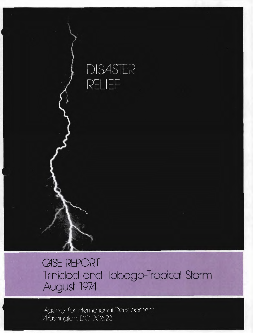

**CASE REPORT** Trinidad and Tobago-Tropical Storm August 1974

Agency for International Development Washington, DC 20523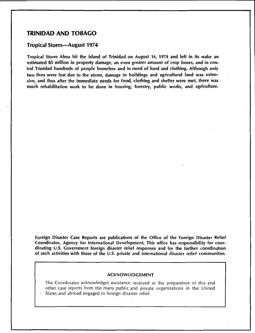# **TRINIDAD AND TOBAGO**

## **Tropical Storm-August 1974**

Tropical Storm Alma hit the island of Trinidad on August 14, 1974 and left in its wake an estimated \$5 million in property damage, an even greater amount of crop losses, and in central Trinidad hundreds of people homeless and in need of food and clothing. Although only two lives were lost due to the storm, damage to buildings and agricultural land was extensive, and thus after the immediate needs for food, clothing and shelter were met, there was much rehabilitation work to be done in housing, forestry, public works, and agriculture.

Foreign Disaster Case Reports are publications of the Office of the Foreign Disaster Relief Coordinator, Agency for International Development. This office has responsibility for coordinating U.S. Government foreign disaster relief responses and for the further coordination of such activities with those of the U.S. private and international disaster relief communities.

#### ACKNOWLEDGEMENT

The Coordinator acknowledges assistance received in the preparation of this and other case reports from the many public and private organizations in the United States and abroad engaged in foreign disaster relief.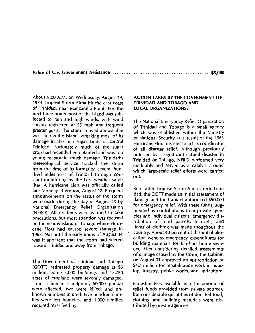**Value of U.S. Government** Assistance .......................................... **\$5,000** 

About 6:00 A.M. on Wednesday, August 14, 1974 Tropical Storm Alma hit the east coast of Trinidad, near Manzanilla Point. For the next three hours most of the island was subjected to rain and high winds, with wind speeds registered at 55 mph and frequent greater gusts. The storm moved almost due west across the island, wreaking most of its damage in the rich sugar lands of central Trinidad. Fortunately much of the sugar crop had recently been planted and was too young to sustain much damage. Trinidad's meterological service tracked the storm from the time of its formation several hundred miles east of Trinidad through constant monitoring by the U.S. weather satellites. A hurricane alert was officially called late Monday afternoon, August 12. Frequent announcements on the status of the storm were made during the day of August 13 by National Emergency Relief Organization (NERO). All residents were warned to take precautions, but most attention was focused on the nearby island of Tobago where Hurricane Flora had caused severe damage in 1963. Not until the early hours of August 14 was it apparent that the storm had veered toward Trinidad and away from Tobago.

The Government of Trinidad and Tobago (GOTT) estimated property damage at \$5 million. Some 3,000 buildings and 17,750 acres of cropland were severely damaged. From a human standpoint, 50,000 people were affected, two were killed, and unknown numbers injured. Five hundred families were left homeless and 1,000 families required mass feeding.

## **ACTION TAKEN BY THE GOVERNMENT OF TRINIDAD AND TOBAGO AND LOCAL ORGANIZATIONS:**

The National Emergency Relief Organization of Trinidad and Tobago is a small agency which was established within the Ministry of National Security as a result of the 1963 Hurricane Flora disaster to act as coordinator of all disaster relief. Although previously untested by a significant natural disaster in Trinidad or Tobago, NERO performed very creditably and served as a catalyst around which large-scale relief efforts were carried out.

Soon after Tropical Storm Alma struck Trinidad, the GOTT made an initial assessment of damage and the Cabinet authorized \$50,000 for emergency relief. With these funds, augmented by contributions from private agencies and individual citizens, emergency distribution of food parcels, blankets, and items· of clothing was made thoughout the country. About 40 percent of this initial allocation went to emergency expenditures for building materials for hard-hit home owners. After considering detailed assessments of damage caused by the storm, the Cabinet on August 31 approved an appropriation of \$4.7 million for rehabilitation work in housing, forestry, public works, and agriculture.

No estimate is available as to the amount of relief funds provided from private sources, but considerable quantities of donated food, clothing, and building materials were distributed by private agencies.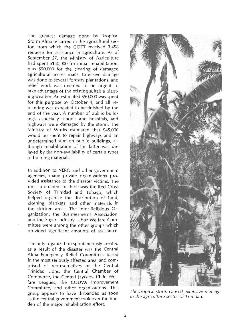The greatest damage done by Tropical Storm Alma occurred in the agricultural sector, from which the GOTT received 3,458 requests for assistance in agriculture. As of September 27, the Ministry of Agriculture had spent \$150,000 for initial rehabilitation, plus \$50,000 for the clearing of damaged agricultural access roads. Extensive damage was done to several forestry plantations, and relief work was deemed to be urgent to take advantage of the existing suitable planting weather. An estimated \$50,000 was spent for this purpose by October 4, and all replanting was expected to be finished by the end of the year. A number of public buildings, especially schools and hospitals, and highways were damaged by the storm. The Ministry of Works estimated that \$45,000 would be spent to repair highways and an undetermined sum on public buildings, although rehabilitation of the latter was delayed by the non-availability of certain types of building materials.

In addition to NERO and other government agencies, many private organizations provided assistance to the disaster victims. The most prominent of these was the Red Cross Society of Trinidad and Tobago, which helped organize the distribution of food, clothing, blankets, and other materials in the stricken areas. The Inter-Religious Organization, the Businessmen's Association, and the Sugar Industry Labor Welfare Committee were among the other groups which provided significant amounts of assistance.

The only organization spontaneously created as a result of the disaster was the Central Alma Emergency Relief Committee, based in the most seriously affected area, and comprised of representatives of the Central Trinidad Lions, the Central Chamber of Commerce, the Central Jaycees, Child Welfare Leagues, the COUVA Improvement Committee, and other organizations. This group appears to have disbanded as soon as the central government took over the burden of the major rehabilitation effort.



*The tropical storm caused extensive damage in the agriculture sector of Trinidad.*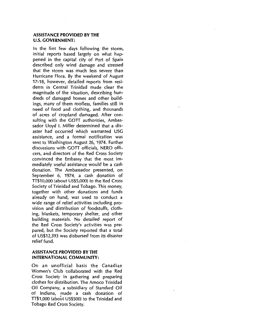## **ASSISTANCE PROVIDED BY THE**  U.S. **GOVERNMENT:**

In the first few days following the storm, initial reports based largely on what happened in the capital city of Port of Spain described only wind damage and stressed that the storm was much less severe than Hurricane Flora. By the weekend of August 17-18, however, detailed reports from residents in Central Trinidad made clear the magnitude of the situation, describing hundreds of damaged homes and other buildings, many of them roofless, families still in need of food and clothing, and thousands of acres of cropland damaged. After consulting with the GOTT authorities, Ambassador Lloyd I. Miller determined that a disaster had occurred which warranted USG assistance, and a formal notification was sent to Washington August 26, 1974. Further discussions with GOTT officials, NERO officers, and directors of the Red Cross Society convinced the Embassy that the most immediately useful assistance would be a cash donation. The Ambassador presented, on September 6, 1974, a cash donation of TT\$10,000 (about US\$5,000) to the Red Cross Society of Trinidad and Tobago. This money, together with other donations and funds already on hand, was used to conduct a wide range of relief activities including provision and distribution of foodstuffs, clothing, blankets, temporary shelter, and other building materials. No detailed report of the Red Cross Society's activities was prepared, but the Society reported that a total of US\$12,393 was disbursed from its disaster relief fund.

## **ASSISTANCE PROVIDED BY THE INTERNATIONAL COMMUNITY:**

On an unofficial basis the Canadian Women's Club collaborated with the Red Cross Society in gathering and preparing clothes for distribution. The Amoco Trinidad Oil Company, a subsidiary of Standard Oil of Indiana, made a cash donation of TT\$1,000 (about US\$500) to the Trinidad and Tobago Red Cross Society.